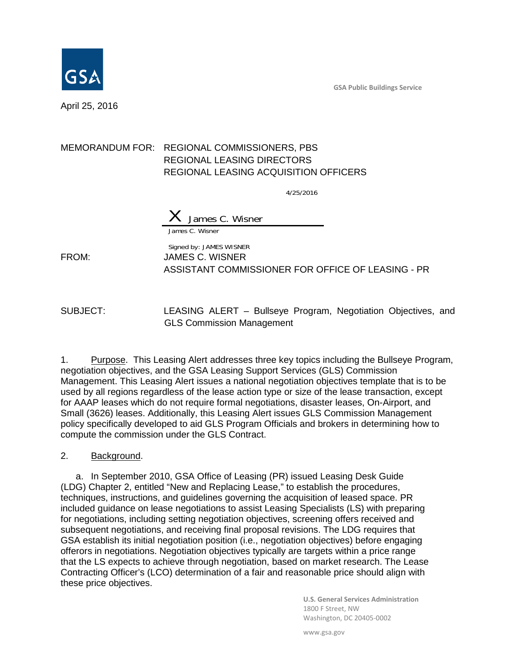**GSA Public Buildings Service**



April 25, 2016

### MEMORANDUM FOR: REGIONAL COMMISSIONERS, PBS REGIONAL LEASING DIRECTORS REGIONAL LEASING ACQUISITION OFFICERS

4/25/2016

James C. Wisner James C. Wisner

Signed by: JAMES WISNER FROM: JAMES C. WISNER ASSISTANT COMMISSIONER FOR OFFICE OF LEASING - PR

SUBJECT: LEASING ALERT – Bullseye Program, Negotiation Objectives, and GLS Commission Management

1. Purpose. This Leasing Alert addresses three key topics including the Bullseye Program, negotiation objectives, and the GSA Leasing Support Services (GLS) Commission Management. This Leasing Alert issues a national negotiation objectives template that is to be used by all regions regardless of the lease action type or size of the lease transaction, except for AAAP leases which do not require formal negotiations, disaster leases, On-Airport, and Small (3626) leases. Additionally, this Leasing Alert issues GLS Commission Management policy specifically developed to aid GLS Program Officials and brokers in determining how to compute the commission under the GLS Contract.

#### 2. Background.

a. In September 2010, GSA Office of Leasing (PR) issued Leasing Desk Guide (LDG) Chapter 2, entitled "New and Replacing Lease," to establish the procedures, techniques, instructions, and guidelines governing the acquisition of leased space. PR included guidance on lease negotiations to assist Leasing Specialists (LS) with preparing for negotiations, including setting negotiation objectives, screening offers received and subsequent negotiations, and receiving final proposal revisions. The LDG requires that GSA establish its initial negotiation position (i.e., negotiation objectives) before engaging offerors in negotiations. Negotiation objectives typically are targets within a price range that the LS expects to achieve through negotiation, based on market research. The Lease Contracting Officer's (LCO) determination of a fair and reasonable price should align with these price objectives.

> **U.S. General Services Administration** 1800 F Street, NW Washington, DC 20405-0002

www.gsa.gov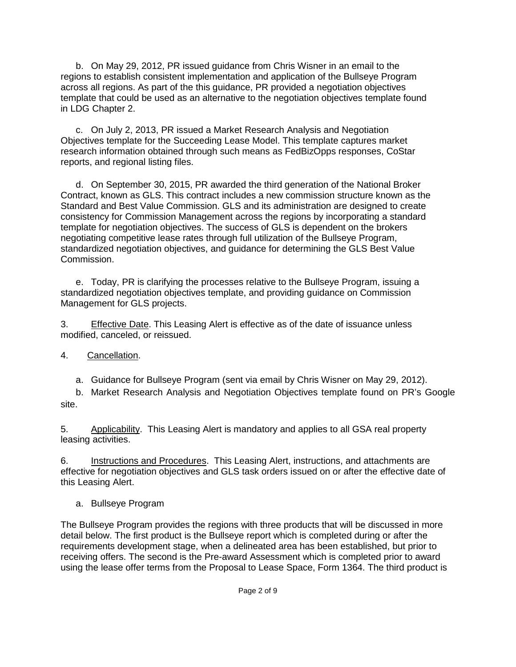b. On May 29, 2012, PR issued guidance from Chris Wisner in an email to the regions to establish consistent implementation and application of the Bullseye Program across all regions. As part of the this guidance, PR provided a negotiation objectives template that could be used as an alternative to the negotiation objectives template found in LDG Chapter 2.

c. On July 2, 2013, PR issued a Market Research Analysis and Negotiation Objectives template for the Succeeding Lease Model. This template captures market research information obtained through such means as FedBizOpps responses, CoStar reports, and regional listing files.

d. On September 30, 2015, PR awarded the third generation of the National Broker Contract, known as GLS. This contract includes a new commission structure known as the Standard and Best Value Commission. GLS and its administration are designed to create consistency for Commission Management across the regions by incorporating a standard template for negotiation objectives. The success of GLS is dependent on the brokers negotiating competitive lease rates through full utilization of the Bullseye Program, standardized negotiation objectives, and guidance for determining the GLS Best Value Commission.

e. Today, PR is clarifying the processes relative to the Bullseye Program, issuing a standardized negotiation objectives template, and providing guidance on Commission Management for GLS projects.

3. Effective Date. This Leasing Alert is effective as of the date of issuance unless modified, canceled, or reissued.

4. Cancellation.

a. Guidance for Bullseye Program (sent via email by Chris Wisner on May 29, 2012).

b. Market Research Analysis and Negotiation Objectives template found on PR's Google site.

5. Applicability. This Leasing Alert is mandatory and applies to all GSA real property leasing activities.

6. Instructions and Procedures. This Leasing Alert, instructions, and attachments are effective for negotiation objectives and GLS task orders issued on or after the effective date of this Leasing Alert.

a. Bullseye Program

The Bullseye Program provides the regions with three products that will be discussed in more detail below. The first product is the Bullseye report which is completed during or after the requirements development stage, when a delineated area has been established, but prior to receiving offers. The second is the Pre-award Assessment which is completed prior to award using the lease offer terms from the Proposal to Lease Space, Form 1364. The third product is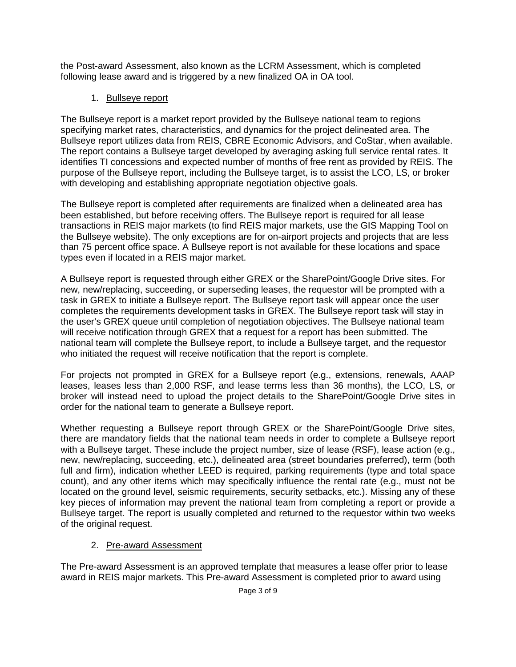the Post-award Assessment, also known as the LCRM Assessment, which is completed following lease award and is triggered by a new finalized OA in OA tool.

## 1. Bullseye report

The Bullseye report is a market report provided by the Bullseye national team to regions specifying market rates, characteristics, and dynamics for the project delineated area. The Bullseye report utilizes data from REIS, CBRE Economic Advisors, and CoStar, when available. The report contains a Bullseye target developed by averaging asking full service rental rates. It identifies TI concessions and expected number of months of free rent as provided by REIS. The purpose of the Bullseye report, including the Bullseye target, is to assist the LCO, LS, or broker with developing and establishing appropriate negotiation objective goals.

The Bullseye report is completed after requirements are finalized when a delineated area has been established, but before receiving offers. The Bullseye report is required for all lease transactions in REIS major markets (to find REIS major markets, use the GIS Mapping Tool on the Bullseye website). The only exceptions are for on-airport projects and projects that are less than 75 percent office space. A Bullseye report is not available for these locations and space types even if located in a REIS major market.

A Bullseye report is requested through either GREX or the SharePoint/Google Drive sites. For new, new/replacing, succeeding, or superseding leases, the requestor will be prompted with a task in GREX to initiate a Bullseye report. The Bullseye report task will appear once the user completes the requirements development tasks in GREX. The Bullseye report task will stay in the user's GREX queue until completion of negotiation objectives. The Bullseye national team will receive notification through GREX that a request for a report has been submitted. The national team will complete the Bullseye report, to include a Bullseye target, and the requestor who initiated the request will receive notification that the report is complete.

For projects not prompted in GREX for a Bullseye report (e.g., extensions, renewals, AAAP leases, leases less than 2,000 RSF, and lease terms less than 36 months), the LCO, LS, or broker will instead need to upload the project details to the SharePoint/Google Drive sites in order for the national team to generate a Bullseye report.

Whether requesting a Bullseye report through GREX or the SharePoint/Google Drive sites, there are mandatory fields that the national team needs in order to complete a Bullseye report with a Bullseye target. These include the project number, size of lease (RSF), lease action (e.g., new, new/replacing, succeeding, etc.), delineated area (street boundaries preferred), term (both full and firm), indication whether LEED is required, parking requirements (type and total space count), and any other items which may specifically influence the rental rate (e.g., must not be located on the ground level, seismic requirements, security setbacks, etc.). Missing any of these key pieces of information may prevent the national team from completing a report or provide a Bullseye target. The report is usually completed and returned to the requestor within two weeks of the original request.

## 2. Pre-award Assessment

The Pre-award Assessment is an approved template that measures a lease offer prior to lease award in REIS major markets. This Pre-award Assessment is completed prior to award using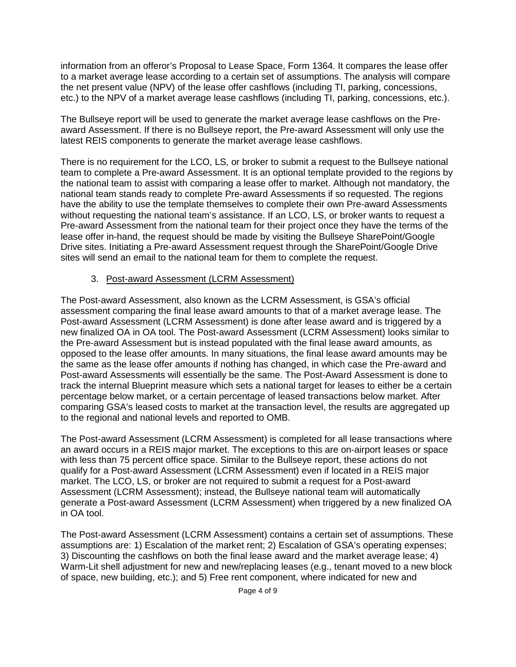information from an offeror's Proposal to Lease Space, Form 1364. It compares the lease offer to a market average lease according to a certain set of assumptions. The analysis will compare the net present value (NPV) of the lease offer cashflows (including TI, parking, concessions, etc.) to the NPV of a market average lease cashflows (including TI, parking, concessions, etc.).

The Bullseye report will be used to generate the market average lease cashflows on the Preaward Assessment. If there is no Bullseye report, the Pre-award Assessment will only use the latest REIS components to generate the market average lease cashflows.

There is no requirement for the LCO, LS, or broker to submit a request to the Bullseye national team to complete a Pre-award Assessment. It is an optional template provided to the regions by the national team to assist with comparing a lease offer to market. Although not mandatory, the national team stands ready to complete Pre-award Assessments if so requested. The regions have the ability to use the template themselves to complete their own Pre-award Assessments without requesting the national team's assistance. If an LCO, LS, or broker wants to request a Pre-award Assessment from the national team for their project once they have the terms of the lease offer in-hand, the request should be made by visiting the Bullseye SharePoint/Google Drive sites. Initiating a Pre-award Assessment request through the SharePoint/Google Drive sites will send an email to the national team for them to complete the request.

#### 3. Post-award Assessment (LCRM Assessment)

The Post-award Assessment, also known as the LCRM Assessment, is GSA's official assessment comparing the final lease award amounts to that of a market average lease. The Post-award Assessment (LCRM Assessment) is done after lease award and is triggered by a new finalized OA in OA tool. The Post-award Assessment (LCRM Assessment) looks similar to the Pre-award Assessment but is instead populated with the final lease award amounts, as opposed to the lease offer amounts. In many situations, the final lease award amounts may be the same as the lease offer amounts if nothing has changed, in which case the Pre-award and Post-award Assessments will essentially be the same. The Post-Award Assessment is done to track the internal Blueprint measure which sets a national target for leases to either be a certain percentage below market, or a certain percentage of leased transactions below market. After comparing GSA's leased costs to market at the transaction level, the results are aggregated up to the regional and national levels and reported to OMB.

The Post-award Assessment (LCRM Assessment) is completed for all lease transactions where an award occurs in a REIS major market. The exceptions to this are on-airport leases or space with less than 75 percent office space. Similar to the Bullseye report, these actions do not qualify for a Post-award Assessment (LCRM Assessment) even if located in a REIS major market. The LCO, LS, or broker are not required to submit a request for a Post-award Assessment (LCRM Assessment); instead, the Bullseye national team will automatically generate a Post-award Assessment (LCRM Assessment) when triggered by a new finalized OA in OA tool.

The Post-award Assessment (LCRM Assessment) contains a certain set of assumptions. These assumptions are: 1) Escalation of the market rent; 2) Escalation of GSA's operating expenses; 3) Discounting the cashflows on both the final lease award and the market average lease; 4) Warm-Lit shell adjustment for new and new/replacing leases (e.g., tenant moved to a new block of space, new building, etc.); and 5) Free rent component, where indicated for new and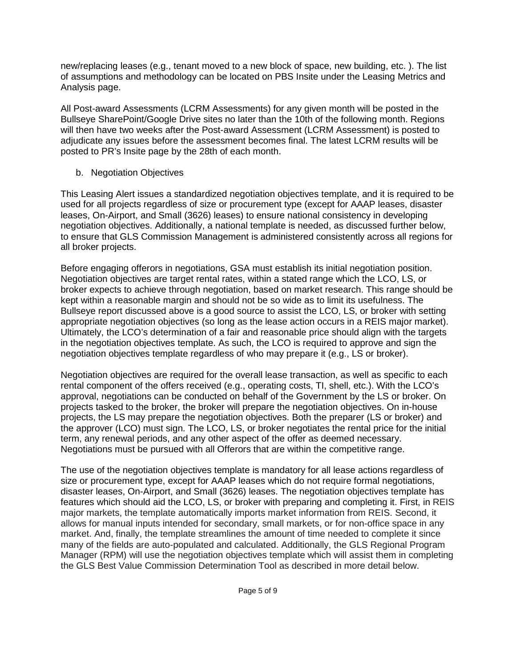new/replacing leases (e.g., tenant moved to a new block of space, new building, etc. ). The list of assumptions and methodology can be located on PBS Insite under the Leasing Metrics and Analysis page.

All Post-award Assessments (LCRM Assessments) for any given month will be posted in the Bullseye SharePoint/Google Drive sites no later than the 10th of the following month. Regions will then have two weeks after the Post-award Assessment (LCRM Assessment) is posted to adjudicate any issues before the assessment becomes final. The latest LCRM results will be posted to PR's Insite page by the 28th of each month.

b. Negotiation Objectives

This Leasing Alert issues a standardized negotiation objectives template, and it is required to be used for all projects regardless of size or procurement type (except for AAAP leases, disaster leases, On-Airport, and Small (3626) leases) to ensure national consistency in developing negotiation objectives. Additionally, a national template is needed, as discussed further below, to ensure that GLS Commission Management is administered consistently across all regions for all broker projects.

Before engaging offerors in negotiations, GSA must establish its initial negotiation position. Negotiation objectives are target rental rates, within a stated range which the LCO, LS, or broker expects to achieve through negotiation, based on market research. This range should be kept within a reasonable margin and should not be so wide as to limit its usefulness. The Bullseye report discussed above is a good source to assist the LCO, LS, or broker with setting appropriate negotiation objectives (so long as the lease action occurs in a REIS major market). Ultimately, the LCO's determination of a fair and reasonable price should align with the targets in the negotiation objectives template. As such, the LCO is required to approve and sign the negotiation objectives template regardless of who may prepare it (e.g., LS or broker).

Negotiation objectives are required for the overall lease transaction, as well as specific to each rental component of the offers received (e.g., operating costs, TI, shell, etc.). With the LCO's approval, negotiations can be conducted on behalf of the Government by the LS or broker. On projects tasked to the broker, the broker will prepare the negotiation objectives. On in-house projects, the LS may prepare the negotiation objectives. Both the preparer (LS or broker) and the approver (LCO) must sign. The LCO, LS, or broker negotiates the rental price for the initial term, any renewal periods, and any other aspect of the offer as deemed necessary. Negotiations must be pursued with all Offerors that are within the competitive range.

The use of the negotiation objectives template is mandatory for all lease actions regardless of size or procurement type, except for AAAP leases which do not require formal negotiations, disaster leases, On-Airport, and Small (3626) leases. The negotiation objectives template has features which should aid the LCO, LS, or broker with preparing and completing it. First, in REIS major markets, the template automatically imports market information from REIS. Second, it allows for manual inputs intended for secondary, small markets, or for non-office space in any market. And, finally, the template streamlines the amount of time needed to complete it since many of the fields are auto-populated and calculated. Additionally, the GLS Regional Program Manager (RPM) will use the negotiation objectives template which will assist them in completing the GLS Best Value Commission Determination Tool as described in more detail below.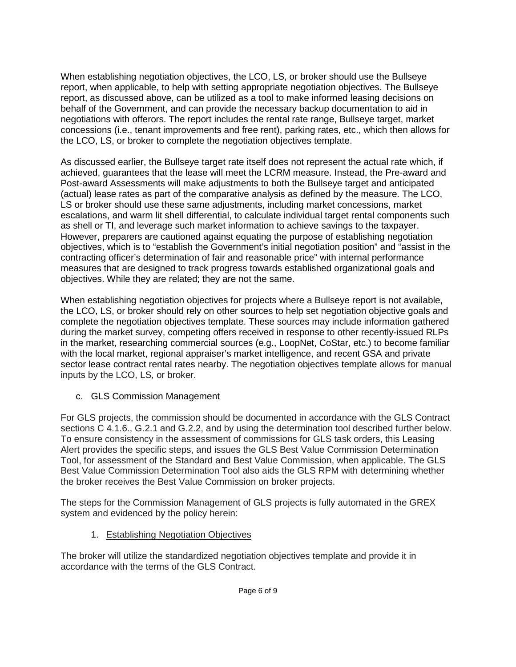When establishing negotiation objectives, the LCO, LS, or broker should use the Bullseye report, when applicable, to help with setting appropriate negotiation objectives. The Bullseye report, as discussed above, can be utilized as a tool to make informed leasing decisions on behalf of the Government, and can provide the necessary backup documentation to aid in negotiations with offerors. The report includes the rental rate range, Bullseye target, market concessions (i.e., tenant improvements and free rent), parking rates, etc., which then allows for the LCO, LS, or broker to complete the negotiation objectives template.

As discussed earlier, the Bullseye target rate itself does not represent the actual rate which, if achieved, guarantees that the lease will meet the LCRM measure. Instead, the Pre-award and Post-award Assessments will make adjustments to both the Bullseye target and anticipated (actual) lease rates as part of the comparative analysis as defined by the measure. The LCO, LS or broker should use these same adjustments, including market concessions, market escalations, and warm lit shell differential, to calculate individual target rental components such as shell or TI, and leverage such market information to achieve savings to the taxpayer. However, preparers are cautioned against equating the purpose of establishing negotiation objectives, which is to "establish the Government's initial negotiation position" and "assist in the contracting officer's determination of fair and reasonable price" with internal performance measures that are designed to track progress towards established organizational goals and objectives. While they are related; they are not the same.

When establishing negotiation objectives for projects where a Bullseye report is not available, the LCO, LS, or broker should rely on other sources to help set negotiation objective goals and complete the negotiation objectives template. These sources may include information gathered during the market survey, competing offers received in response to other recently-issued RLPs in the market, researching commercial sources (e.g., LoopNet, CoStar, etc.) to become familiar with the local market, regional appraiser's market intelligence, and recent GSA and private sector lease contract rental rates nearby. The negotiation objectives template allows for manual inputs by the LCO, LS, or broker.

c. GLS Commission Management

For GLS projects, the commission should be documented in accordance with the GLS Contract sections C 4.1.6., G.2.1 and G.2.2, and by using the determination tool described further below. To ensure consistency in the assessment of commissions for GLS task orders, this Leasing Alert provides the specific steps, and issues the GLS Best Value Commission Determination Tool, for assessment of the Standard and Best Value Commission, when applicable. The GLS Best Value Commission Determination Tool also aids the GLS RPM with determining whether the broker receives the Best Value Commission on broker projects.

The steps for the Commission Management of GLS projects is fully automated in the GREX system and evidenced by the policy herein:

1. Establishing Negotiation Objectives

The broker will utilize the standardized negotiation objectives template and provide it in accordance with the terms of the GLS Contract.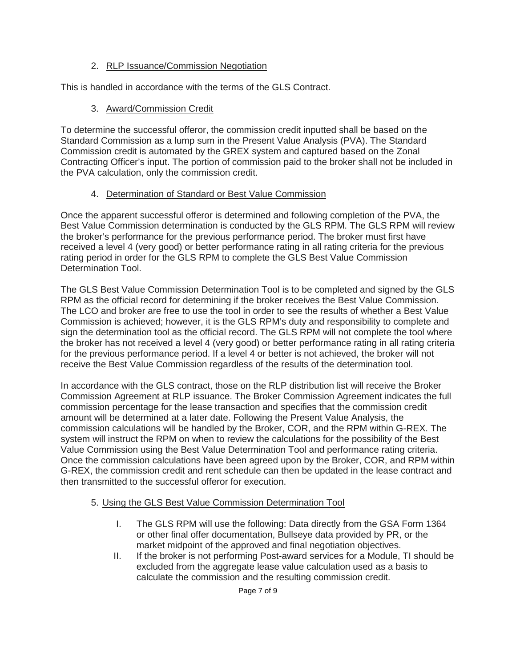#### 2. RLP Issuance/Commission Negotiation

This is handled in accordance with the terms of the GLS Contract.

### 3. Award/Commission Credit

To determine the successful offeror, the commission credit inputted shall be based on the Standard Commission as a lump sum in the Present Value Analysis (PVA). The Standard Commission credit is automated by the GREX system and captured based on the Zonal Contracting Officer's input. The portion of commission paid to the broker shall not be included in the PVA calculation, only the commission credit.

### 4. Determination of Standard or Best Value Commission

Once the apparent successful offeror is determined and following completion of the PVA, the Best Value Commission determination is conducted by the GLS RPM. The GLS RPM will review the broker's performance for the previous performance period. The broker must first have received a level 4 (very good) or better performance rating in all rating criteria for the previous rating period in order for the GLS RPM to complete the GLS Best Value Commission Determination Tool.

The GLS Best Value Commission Determination Tool is to be completed and signed by the GLS RPM as the official record for determining if the broker receives the Best Value Commission. The LCO and broker are free to use the tool in order to see the results of whether a Best Value Commission is achieved; however, it is the GLS RPM's duty and responsibility to complete and sign the determination tool as the official record. The GLS RPM will not complete the tool where the broker has not received a level 4 (very good) or better performance rating in all rating criteria for the previous performance period. If a level 4 or better is not achieved, the broker will not receive the Best Value Commission regardless of the results of the determination tool.

In accordance with the GLS contract, those on the RLP distribution list will receive the Broker Commission Agreement at RLP issuance. The Broker Commission Agreement indicates the full commission percentage for the lease transaction and specifies that the commission credit amount will be determined at a later date. Following the Present Value Analysis, the commission calculations will be handled by the Broker, COR, and the RPM within G-REX. The system will instruct the RPM on when to review the calculations for the possibility of the Best Value Commission using the Best Value Determination Tool and performance rating criteria. Once the commission calculations have been agreed upon by the Broker, COR, and RPM within G-REX, the commission credit and rent schedule can then be updated in the lease contract and then transmitted to the successful offeror for execution.

#### 5. Using the GLS Best Value Commission Determination Tool

- I. The GLS RPM will use the following: Data directly from the GSA Form 1364 or other final offer documentation, Bullseye data provided by PR, or the market midpoint of the approved and final negotiation objectives.
- II. If the broker is not performing Post-award services for a Module, TI should be excluded from the aggregate lease value calculation used as a basis to calculate the commission and the resulting commission credit.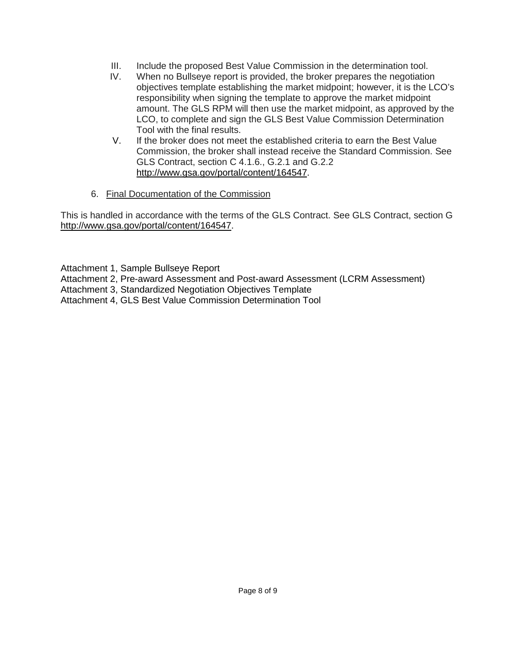- III. Include the proposed Best Value Commission in the determination tool.<br>IV. When no Bullseve report is provided the broker prepares the negotiation
- When no Bullseye report is provided, the broker prepares the negotiation objectives template establishing the market midpoint; however, it is the LCO's responsibility when signing the template to approve the market midpoint amount. The GLS RPM will then use the market midpoint, as approved by the LCO, to complete and sign the GLS Best Value Commission Determination Tool with the final results.
- V. If the broker does not meet the established criteria to earn the Best Value Commission, the broker shall instead receive the Standard Commission. See GLS Contract, section C 4.1.6., G.2.1 and G.2.2 [http://www.gsa.gov/portal/content/164547.](http://www.gsa.gov/portal/content/164547)
- 6. Final Documentation of the Commission

This is handled in accordance with the terms of the GLS Contract. See GLS Contract, section G [http://www.gsa.gov/portal/content/164547.](http://www.gsa.gov/portal/content/164547)

Attachment 1, Sample Bullseye Report

Attachment 2, Pre-award Assessment and Post-award Assessment (LCRM Assessment)

Attachment 3, Standardized Negotiation Objectives Template

Attachment 4, GLS Best Value Commission Determination Tool